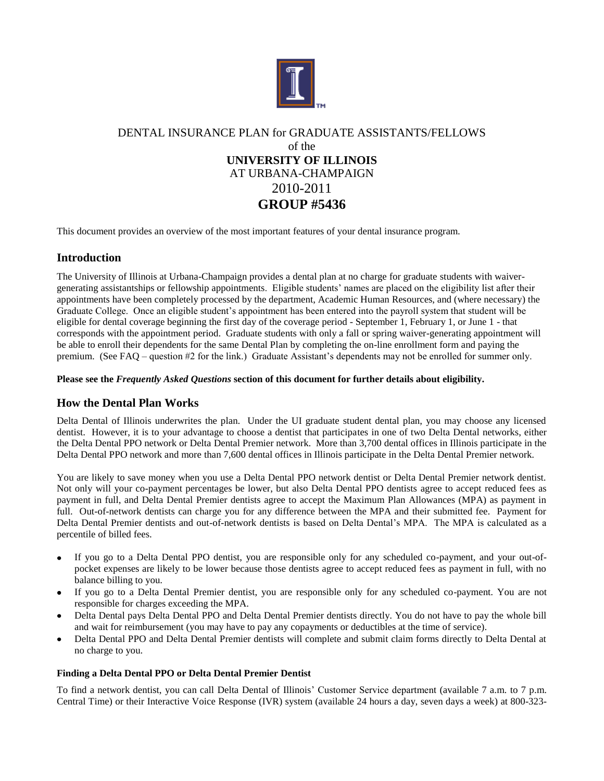

# DENTAL INSURANCE PLAN for GRADUATE ASSISTANTS/FELLOWS of the **UNIVERSITY OF ILLINOIS** AT URBANA-CHAMPAIGN 2010-2011 **GROUP #5436**

This document provides an overview of the most important features of your dental insurance program.

# **Introduction**

The University of Illinois at Urbana-Champaign provides a dental plan at no charge for graduate students with waivergenerating assistantships or fellowship appointments. Eligible students' names are placed on the eligibility list after their appointments have been completely processed by the department, Academic Human Resources, and (where necessary) the Graduate College. Once an eligible student's appointment has been entered into the payroll system that student will be eligible for dental coverage beginning the first day of the coverage period - September 1, February 1, or June 1 - that corresponds with the appointment period. Graduate students with only a fall or spring waiver-generating appointment will be able to enroll their dependents for the same Dental Plan by completing the on-line enrollment form and paying the premium. (See FAQ – question #2 for the link.) Graduate Assistant's dependents may not be enrolled for summer only.

## **Please see the** *Frequently Asked Questions* **section of this document for further details about eligibility.**

# **How the Dental Plan Works**

Delta Dental of Illinois underwrites the plan. Under the UI graduate student dental plan, you may choose any licensed dentist. However, it is to your advantage to choose a dentist that participates in one of two Delta Dental networks, either the Delta Dental PPO network or Delta Dental Premier network. More than 3,700 dental offices in Illinois participate in the Delta Dental PPO network and more than 7,600 dental offices in Illinois participate in the Delta Dental Premier network.

You are likely to save money when you use a Delta Dental PPO network dentist or Delta Dental Premier network dentist. Not only will your co-payment percentages be lower, but also Delta Dental PPO dentists agree to accept reduced fees as payment in full, and Delta Dental Premier dentists agree to accept the Maximum Plan Allowances (MPA) as payment in full. Out-of-network dentists can charge you for any difference between the MPA and their submitted fee. Payment for Delta Dental Premier dentists and out-of-network dentists is based on Delta Dental's MPA. The MPA is calculated as a percentile of billed fees.

- $\bullet$ If you go to a Delta Dental PPO dentist, you are responsible only for any scheduled co-payment, and your out-ofpocket expenses are likely to be lower because those dentists agree to accept reduced fees as payment in full, with no balance billing to you.
- If you go to a Delta Dental Premier dentist, you are responsible only for any scheduled co-payment. You are not responsible for charges exceeding the MPA.
- Delta Dental pays Delta Dental PPO and Delta Dental Premier dentists directly. You do not have to pay the whole bill and wait for reimbursement (you may have to pay any copayments or deductibles at the time of service).
- Delta Dental PPO and Delta Dental Premier dentists will complete and submit claim forms directly to Delta Dental at no charge to you.

### **Finding a Delta Dental PPO or Delta Dental Premier Dentist**

To find a network dentist, you can call Delta Dental of Illinois' Customer Service department (available 7 a.m. to 7 p.m. Central Time) or their Interactive Voice Response (IVR) system (available 24 hours a day, seven days a week) at 800-323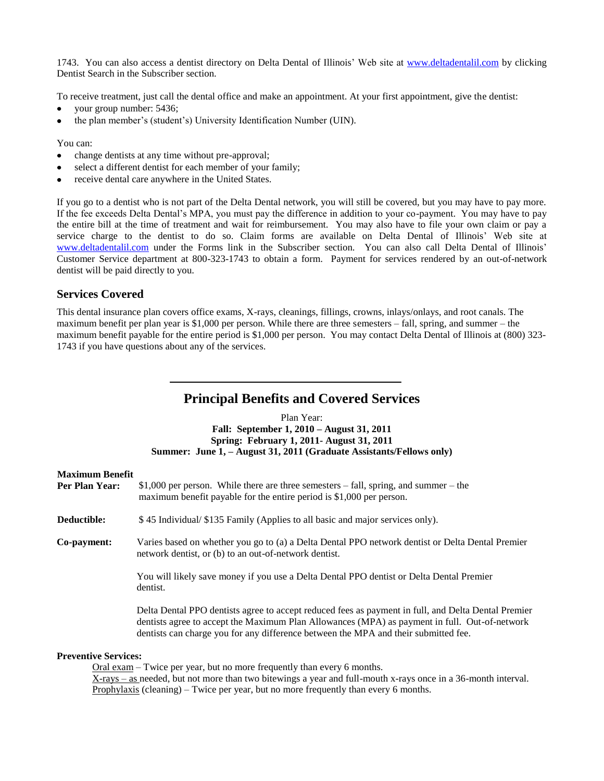1743. You can also access a dentist directory on Delta Dental of Illinois' Web site at [www.deltadentalil.com](http://www.deltadentalil.com/) by clicking Dentist Search in the Subscriber section.

To receive treatment, just call the dental office and make an appointment. At your first appointment, give the dentist:

- your group number: 5436;
- the plan member's (student's) University Identification Number (UIN).

You can:

- change dentists at any time without pre-approval;  $\bullet$
- select a different dentist for each member of your family;
- receive dental care anywhere in the United States.

If you go to a dentist who is not part of the Delta Dental network, you will still be covered, but you may have to pay more. If the fee exceeds Delta Dental's MPA, you must pay the difference in addition to your co-payment. You may have to pay the entire bill at the time of treatment and wait for reimbursement. You may also have to file your own claim or pay a service charge to the dentist to do so. Claim forms are available on Delta Dental of Illinois' Web site at [www.deltadentalil.com](http://www.deltadentalil.com/) under the Forms link in the Subscriber section. You can also call Delta Dental of Illinois' Customer Service department at 800-323-1743 to obtain a form. Payment for services rendered by an out-of-network dentist will be paid directly to you.

# **Services Covered**

This dental insurance plan covers office exams, X-rays, cleanings, fillings, crowns, inlays/onlays, and root canals. The maximum benefit per plan year is \$1,000 per person. While there are three semesters – fall, spring, and summer – the maximum benefit payable for the entire period is \$1,000 per person. You may contact Delta Dental of Illinois at (800) 323- 1743 if you have questions about any of the services.

# **Principal Benefits and Covered Services**

Plan Year: **Fall: September 1, 2010 – August 31, 2011 Spring: February 1, 2011- August 31, 2011 Summer: June 1, – August 31, 2011 (Graduate Assistants/Fellows only)**

# **Maximum Benefit**

| Per Plan Year:              | $$1,000$ per person. While there are three semesters – fall, spring, and summer – the<br>maximum benefit payable for the entire period is \$1,000 per person.                                                                                                                               |
|-----------------------------|---------------------------------------------------------------------------------------------------------------------------------------------------------------------------------------------------------------------------------------------------------------------------------------------|
| Deductible:                 | \$45 Individual/\$135 Family (Applies to all basic and major services only).                                                                                                                                                                                                                |
| Co-payment:                 | Varies based on whether you go to (a) a Delta Dental PPO network dentist or Delta Dental Premier<br>network dentist, or (b) to an out-of-network dentist.                                                                                                                                   |
|                             | You will likely save money if you use a Delta Dental PPO dentist or Delta Dental Premier<br>dentist.                                                                                                                                                                                        |
|                             | Delta Dental PPO dentists agree to accept reduced fees as payment in full, and Delta Dental Premier<br>dentists agree to accept the Maximum Plan Allowances (MPA) as payment in full. Out-of-network<br>dentists can charge you for any difference between the MPA and their submitted fee. |
| <b>Preventive Services:</b> | $O_{\rm rel}$ arom Twice per year, but no more frequently than aroung 6 months.                                                                                                                                                                                                             |

Oral exam – Twice per year, but no more frequently than every 6 months. X-rays – as needed, but not more than two bitewings a year and full-mouth x-rays once in a 36-month interval. Prophylaxis (cleaning) – Twice per year, but no more frequently than every 6 months.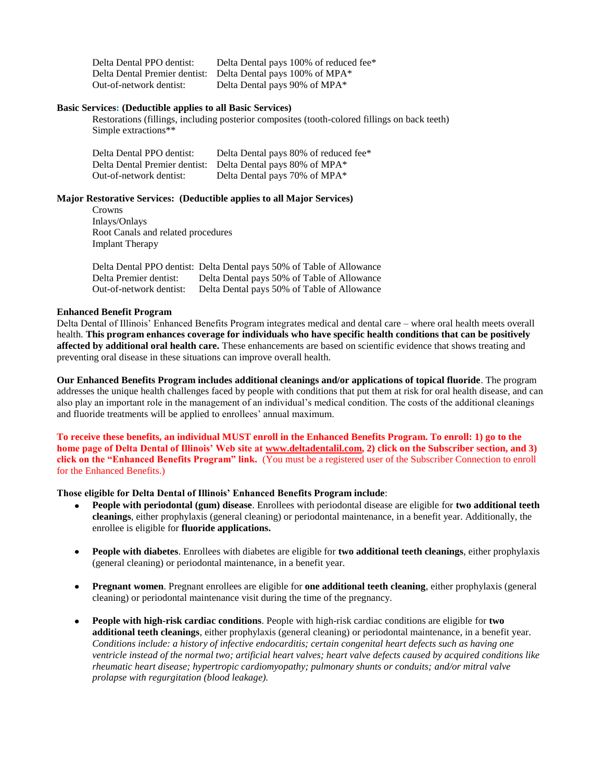| Delta Dental PPO dentist: | Delta Dental pays 100% of reduced fee*                       |
|---------------------------|--------------------------------------------------------------|
|                           | Delta Dental Premier dentist: Delta Dental pays 100% of MPA* |
| Out-of-network dentist:   | Delta Dental pays 90% of MPA*                                |

### **Basic Services: (Deductible applies to all Basic Services)**

Restorations (fillings, including posterior composites (tooth-colored fillings on back teeth) Simple extractions\*\*

| Delta Dental PPO dentist: | Delta Dental pays 80% of reduced fee*                       |
|---------------------------|-------------------------------------------------------------|
|                           | Delta Dental Premier dentist: Delta Dental pays 80% of MPA* |
| Out-of-network dentist:   | Delta Dental pays 70% of MPA*                               |

### **Major Restorative Services: (Deductible applies to all Major Services)**

Crowns Inlays/Onlays Root Canals and related procedures Implant Therapy

|                         | Delta Dental PPO dentist: Delta Dental pays 50% of Table of Allowance |
|-------------------------|-----------------------------------------------------------------------|
| Delta Premier dentist:  | Delta Dental pays 50% of Table of Allowance                           |
| Out-of-network dentist: | Delta Dental pays 50% of Table of Allowance                           |

### **Enhanced Benefit Program**

Delta Dental of Illinois' Enhanced Benefits Program integrates medical and dental care – where oral health meets overall health. **This program enhances coverage for individuals who have specific health conditions that can be positively affected by additional oral health care.** These enhancements are based on scientific evidence that shows treating and preventing oral disease in these situations can improve overall health.

**Our Enhanced Benefits Program includes additional cleanings and/or applications of topical fluoride**. The program addresses the unique health challenges faced by people with conditions that put them at risk for oral health disease, and can also play an important role in the management of an individual's medical condition. The costs of the additional cleanings and fluoride treatments will be applied to enrollees' annual maximum.

**To receive these benefits, an individual MUST enroll in the Enhanced Benefits Program. To enroll: 1) go to the home page of Delta Dental of Illinois' Web site at [www.deltadentalil.com,](http://www.deltadentalil.com/) 2) click on the Subscriber section, and 3) click on the "Enhanced Benefits Program" link.** (You must be a registered user of the Subscriber Connection to enroll for the Enhanced Benefits.)

## **Those eligible for Delta Dental of Illinois' Enhanced Benefits Program include**:

- $\bullet$ **People with periodontal (gum) disease**. Enrollees with periodontal disease are eligible for **two additional teeth cleanings**, either prophylaxis (general cleaning) or periodontal maintenance, in a benefit year. Additionally, the enrollee is eligible for **fluoride applications.**
- $\bullet$ **People with diabetes**. Enrollees with diabetes are eligible for **two additional teeth cleanings**, either prophylaxis (general cleaning) or periodontal maintenance, in a benefit year.
- **Pregnant women**. Pregnant enrollees are eligible for **one additional teeth cleaning**, either prophylaxis (general  $\bullet$ cleaning) or periodontal maintenance visit during the time of the pregnancy.
- **People with high-risk cardiac conditions**. People with high-risk cardiac conditions are eligible for **two**  $\bullet$ **additional teeth cleanings**, either prophylaxis (general cleaning) or periodontal maintenance, in a benefit year. *Conditions include: a history of infective endocarditis; certain congenital heart defects such as having one ventricle instead of the normal two; artificial heart valves; heart valve defects caused by acquired conditions like rheumatic heart disease; hypertropic cardiomyopathy; pulmonary shunts or conduits; and/or mitral valve prolapse with regurgitation (blood leakage).*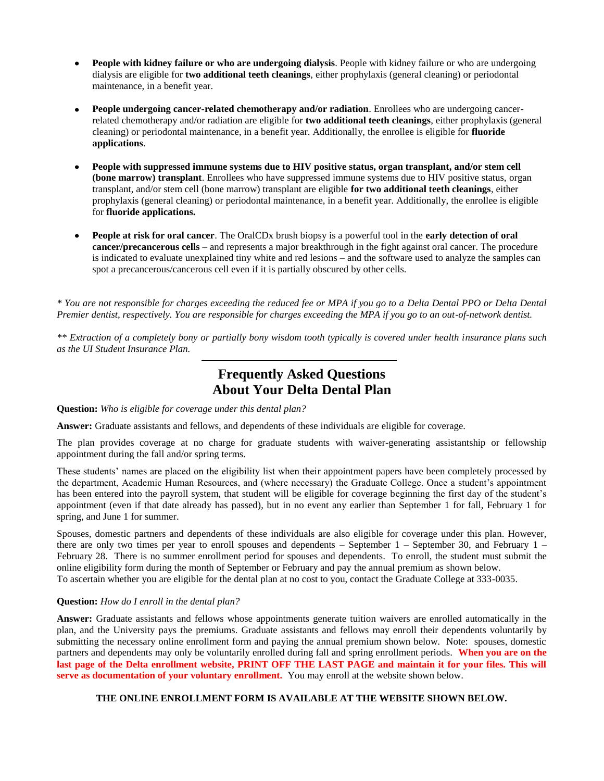- $\bullet$ **People with kidney failure or who are undergoing dialysis**. People with kidney failure or who are undergoing dialysis are eligible for **two additional teeth cleanings**, either prophylaxis (general cleaning) or periodontal maintenance, in a benefit year.
- **People undergoing cancer-related chemotherapy and/or radiation**. Enrollees who are undergoing cancerrelated chemotherapy and/or radiation are eligible for **two additional teeth cleanings**, either prophylaxis (general cleaning) or periodontal maintenance, in a benefit year. Additionally, the enrollee is eligible for **fluoride applications**.
- **People with suppressed immune systems due to HIV positive status, organ transplant, and/or stem cell (bone marrow) transplant**. Enrollees who have suppressed immune systems due to HIV positive status, organ transplant, and/or stem cell (bone marrow) transplant are eligible **for two additional teeth cleanings**, either prophylaxis (general cleaning) or periodontal maintenance, in a benefit year. Additionally, the enrollee is eligible for **fluoride applications.**
- **People at risk for oral cancer**. The OralCDx brush biopsy is a powerful tool in the **early detection of oral cancer/precancerous cells** – and represents a major breakthrough in the fight against oral cancer. The procedure is indicated to evaluate unexplained tiny white and red lesions – and the software used to analyze the samples can spot a precancerous/cancerous cell even if it is partially obscured by other cells.

*\* You are not responsible for charges exceeding the reduced fee or MPA if you go to a Delta Dental PPO or Delta Dental Premier dentist, respectively. You are responsible for charges exceeding the MPA if you go to an out-of-network dentist.*

*\*\* Extraction of a completely bony or partially bony wisdom tooth typically is covered under health insurance plans such as the UI Student Insurance Plan.*

# **Frequently Asked Questions About Your Delta Dental Plan**

**Question:** *Who is eligible for coverage under this dental plan?*

**Answer:** Graduate assistants and fellows, and dependents of these individuals are eligible for coverage.

The plan provides coverage at no charge for graduate students with waiver-generating assistantship or fellowship appointment during the fall and/or spring terms.

These students' names are placed on the eligibility list when their appointment papers have been completely processed by the department, Academic Human Resources, and (where necessary) the Graduate College. Once a student's appointment has been entered into the payroll system, that student will be eligible for coverage beginning the first day of the student's appointment (even if that date already has passed), but in no event any earlier than September 1 for fall, February 1 for spring, and June 1 for summer.

Spouses, domestic partners and dependents of these individuals are also eligible for coverage under this plan. However, there are only two times per year to enroll spouses and dependents – September 1 – September 30, and February 1 – February 28. There is no summer enrollment period for spouses and dependents. To enroll, the student must submit the online eligibility form during the month of September or February and pay the annual premium as shown below. To ascertain whether you are eligible for the dental plan at no cost to you, contact the Graduate College at 333-0035.

# **Question:** *How do I enroll in the dental plan?*

**Answer:** Graduate assistants and fellows whose appointments generate tuition waivers are enrolled automatically in the plan, and the University pays the premiums. Graduate assistants and fellows may enroll their dependents voluntarily by submitting the necessary online enrollment form and paying the annual premium shown below. Note: spouses, domestic partners and dependents may only be voluntarily enrolled during fall and spring enrollment periods. **When you are on the last page of the Delta enrollment website, PRINT OFF THE LAST PAGE and maintain it for your files. This will serve as documentation of your voluntary enrollment.** You may enroll at the website shown below.

# **THE ONLINE ENROLLMENT FORM IS AVAILABLE AT THE WEBSITE SHOWN BELOW.**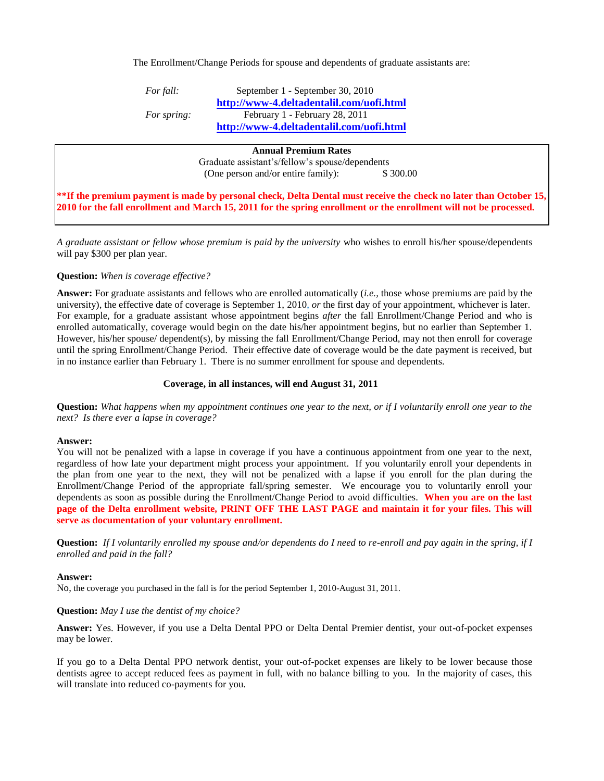The Enrollment/Change Periods for spouse and dependents of graduate assistants are:

*For fall:* **September 1 - September 30, 2010 <http://www-4.deltadentalil.com/uofi.html>** *For spring:* February 1 - February 28, 2011 **<http://www-4.deltadentalil.com/uofi.html>**

#### **Annual Premium Rates**

Graduate assistant's/fellow's spouse/dependents (One person and/or entire family): \$300.00

**\*\*If the premium payment is made by personal check, Delta Dental must receive the check no later than October 15, 2010 for the fall enrollment and March 15, 2011 for the spring enrollment or the enrollment will not be processed.** 

*A graduate assistant or fellow whose premium is paid by the university* who wishes to enroll his/her spouse/dependents will pay \$300 per plan year.

### **Question:** *When is coverage effective?*

**Answer:** For graduate assistants and fellows who are enrolled automatically (*i.e.,* those whose premiums are paid by the university), the effective date of coverage is September 1, 2010, *or* the first day of your appointment, whichever is later. For example, for a graduate assistant whose appointment begins *after* the fall Enrollment/Change Period and who is enrolled automatically, coverage would begin on the date his/her appointment begins, but no earlier than September 1. However, his/her spouse/ dependent(s), by missing the fall Enrollment/Change Period, may not then enroll for coverage until the spring Enrollment/Change Period. Their effective date of coverage would be the date payment is received, but in no instance earlier than February 1. There is no summer enrollment for spouse and dependents.

#### **Coverage, in all instances, will end August 31, 2011**

**Question:** *What happens when my appointment continues one year to the next, or if I voluntarily enroll one year to the next? Is there ever a lapse in coverage?* 

#### **Answer:**

You will not be penalized with a lapse in coverage if you have a continuous appointment from one year to the next, regardless of how late your department might process your appointment. If you voluntarily enroll your dependents in the plan from one year to the next, they will not be penalized with a lapse if you enroll for the plan during the Enrollment/Change Period of the appropriate fall/spring semester. We encourage you to voluntarily enroll your dependents as soon as possible during the Enrollment/Change Period to avoid difficulties. **When you are on the last page of the Delta enrollment website, PRINT OFF THE LAST PAGE and maintain it for your files. This will serve as documentation of your voluntary enrollment.** 

**Question:** *If I voluntarily enrolled my spouse and/or dependents do I need to re-enroll and pay again in the spring, if I enrolled and paid in the fall?*

# **Answer:**

No, the coverage you purchased in the fall is for the period September 1, 2010-August 31, 2011.

# **Question:** *May I use the dentist of my choice?*

**Answer:** Yes. However, if you use a Delta Dental PPO or Delta Dental Premier dentist, your out-of-pocket expenses may be lower.

If you go to a Delta Dental PPO network dentist, your out-of-pocket expenses are likely to be lower because those dentists agree to accept reduced fees as payment in full, with no balance billing to you. In the majority of cases, this will translate into reduced co-payments for you.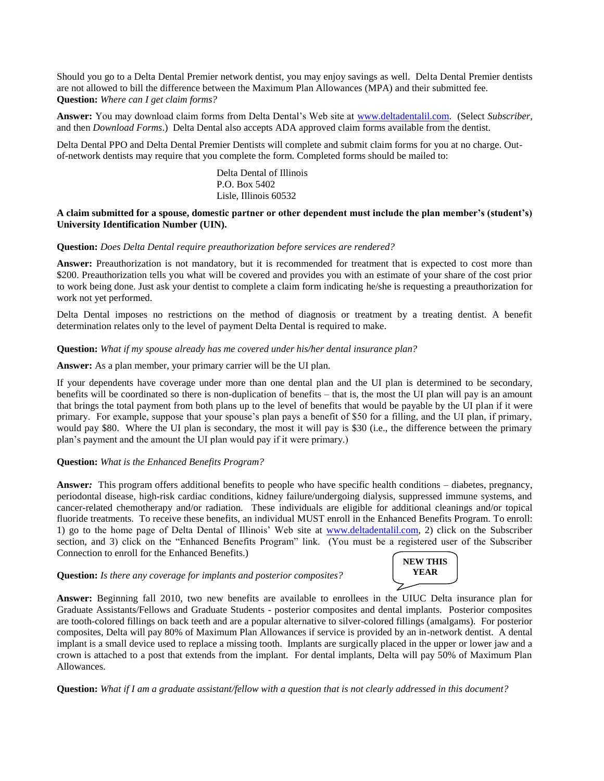Should you go to a Delta Dental Premier network dentist, you may enjoy savings as well. Delta Dental Premier dentists are not allowed to bill the difference between the Maximum Plan Allowances (MPA) and their submitted fee. **Question:** *Where can I get claim forms?*

**Answer:** You may download claim forms from Delta Dental's Web site at [www.deltadentalil.com.](http://www.deltadentalil.com/) (Select *Subscriber,*  and then *Download Forms*.) Delta Dental also accepts ADA approved claim forms available from the dentist.

Delta Dental PPO and Delta Dental Premier Dentists will complete and submit claim forms for you at no charge. Outof-network dentists may require that you complete the form. Completed forms should be mailed to:

> Delta Dental of Illinois P.O. Box 5402 Lisle, Illinois 60532

### **A claim submitted for a spouse, domestic partner or other dependent must include the plan member's (student's) University Identification Number (UIN).**

#### **Question:** *Does Delta Dental require preauthorization before services are rendered?*

Answer: Preauthorization is not mandatory, but it is recommended for treatment that is expected to cost more than \$200. Preauthorization tells you what will be covered and provides you with an estimate of your share of the cost prior to work being done. Just ask your dentist to complete a claim form indicating he/she is requesting a preauthorization for work not yet performed.

Delta Dental imposes no restrictions on the method of diagnosis or treatment by a treating dentist. A benefit determination relates only to the level of payment Delta Dental is required to make.

#### **Question:** *What if my spouse already has me covered under his/her dental insurance plan?*

**Answer:** As a plan member, your primary carrier will be the UI plan.

If your dependents have coverage under more than one dental plan and the UI plan is determined to be secondary, benefits will be coordinated so there is non-duplication of benefits – that is, the most the UI plan will pay is an amount that brings the total payment from both plans up to the level of benefits that would be payable by the UI plan if it were primary. For example, suppose that your spouse's plan pays a benefit of \$50 for a filling, and the UI plan, if primary, would pay \$80. Where the UI plan is secondary, the most it will pay is \$30 (i.e., the difference between the primary plan's payment and the amount the UI plan would pay if it were primary.)

#### **Question:** *What is the Enhanced Benefits Program?*

**Answer***:* This program offers additional benefits to people who have specific health conditions – diabetes, pregnancy, periodontal disease, high-risk cardiac conditions, kidney failure/undergoing dialysis, suppressed immune systems, and cancer-related chemotherapy and/or radiation. These individuals are eligible for additional cleanings and/or topical fluoride treatments. To receive these benefits, an individual MUST enroll in the Enhanced Benefits Program. To enroll: 1) go to the home page of Delta Dental of Illinois' Web site at [www.deltadentalil.com,](http://www.deltadentalil.com/) 2) click on the Subscriber section, and 3) click on the "Enhanced Benefits Program" link. (You must be a registered user of the Subscriber Connection to enroll for the Enhanced Benefits.)

### **Question:** *Is there any coverage for implants and posterior composites?*



**Answer:** Beginning fall 2010, two new benefits are available to enrollees in the UIUC Delta insurance plan for Graduate Assistants/Fellows and Graduate Students - posterior composites and dental implants. Posterior composites are tooth-colored fillings on back teeth and are a popular alternative to silver-colored fillings (amalgams). For posterior composites, Delta will pay 80% of Maximum Plan Allowances if service is provided by an in-network dentist. A dental implant is a small device used to replace a missing tooth. Implants are surgically placed in the upper or lower jaw and a crown is attached to a post that extends from the implant. For dental implants, Delta will pay 50% of Maximum Plan Allowances.

**Question:** *What if I am a graduate assistant/fellow with a question that is not clearly addressed in this document?*